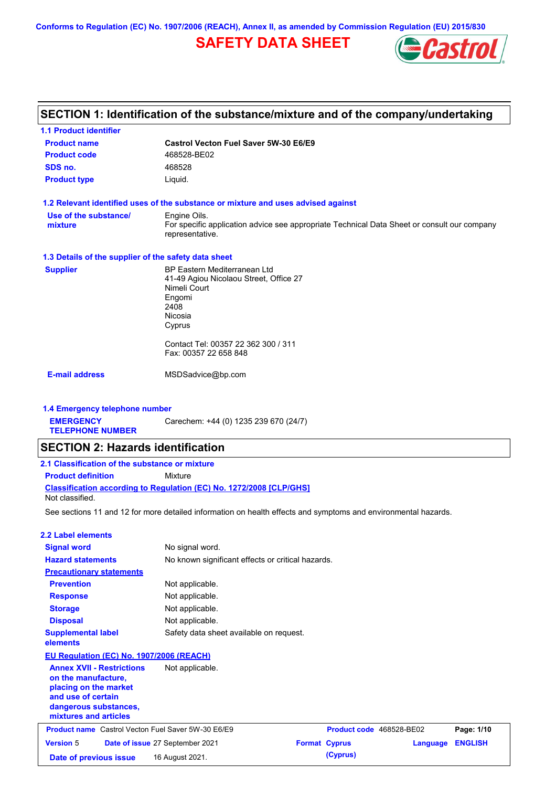**Conforms to Regulation (EC) No. 1907/2006 (REACH), Annex II, as amended by Commission Regulation (EU) 2015/830**

## **SAFETY DATA SHEET**



## **SECTION 1: Identification of the substance/mixture and of the company/undertaking**

| <b>1.1 Product identifier</b>                                               |                                                                                                                |                          |          |                |
|-----------------------------------------------------------------------------|----------------------------------------------------------------------------------------------------------------|--------------------------|----------|----------------|
| <b>Product name</b>                                                         | <b>Castrol Vecton Fuel Saver 5W-30 E6/E9</b>                                                                   |                          |          |                |
| <b>Product code</b>                                                         | 468528-BE02                                                                                                    |                          |          |                |
| SDS no.                                                                     | 468528                                                                                                         |                          |          |                |
| <b>Product type</b>                                                         | Liquid.                                                                                                        |                          |          |                |
|                                                                             | 1.2 Relevant identified uses of the substance or mixture and uses advised against                              |                          |          |                |
| Use of the substance/                                                       | Engine Oils.                                                                                                   |                          |          |                |
| mixture                                                                     | For specific application advice see appropriate Technical Data Sheet or consult our company<br>representative. |                          |          |                |
| 1.3 Details of the supplier of the safety data sheet                        |                                                                                                                |                          |          |                |
| <b>Supplier</b>                                                             | <b>BP Eastern Mediterranean Ltd</b>                                                                            |                          |          |                |
|                                                                             | 41-49 Agiou Nicolaou Street, Office 27<br>Nimeli Court                                                         |                          |          |                |
|                                                                             | Engomi                                                                                                         |                          |          |                |
|                                                                             | 2408                                                                                                           |                          |          |                |
|                                                                             | Nicosia                                                                                                        |                          |          |                |
|                                                                             | Cyprus                                                                                                         |                          |          |                |
|                                                                             | Contact Tel: 00357 22 362 300 / 311                                                                            |                          |          |                |
|                                                                             | Fax: 00357 22 658 848                                                                                          |                          |          |                |
| <b>E-mail address</b>                                                       | MSDSadvice@bp.com                                                                                              |                          |          |                |
|                                                                             |                                                                                                                |                          |          |                |
| 1.4 Emergency telephone number                                              |                                                                                                                |                          |          |                |
| <b>EMERGENCY</b>                                                            | Carechem: +44 (0) 1235 239 670 (24/7)                                                                          |                          |          |                |
| <b>TELEPHONE NUMBER</b>                                                     |                                                                                                                |                          |          |                |
| <b>SECTION 2: Hazards identification</b>                                    |                                                                                                                |                          |          |                |
|                                                                             |                                                                                                                |                          |          |                |
| 2.1 Classification of the substance or mixture<br><b>Product definition</b> | Mixture                                                                                                        |                          |          |                |
|                                                                             | <b>Classification according to Regulation (EC) No. 1272/2008 [CLP/GHS]</b>                                     |                          |          |                |
| Not classified.                                                             |                                                                                                                |                          |          |                |
|                                                                             | See sections 11 and 12 for more detailed information on health effects and symptoms and environmental hazards. |                          |          |                |
| <b>2.2 Label elements</b>                                                   |                                                                                                                |                          |          |                |
| <b>Signal word</b>                                                          | No signal word.                                                                                                |                          |          |                |
| <b>Hazard statements</b>                                                    | No known significant effects or critical hazards.                                                              |                          |          |                |
| <b>Precautionary statements</b>                                             |                                                                                                                |                          |          |                |
| <b>Prevention</b>                                                           | Not applicable.                                                                                                |                          |          |                |
| <b>Response</b>                                                             | Not applicable.                                                                                                |                          |          |                |
| <b>Storage</b>                                                              | Not applicable.                                                                                                |                          |          |                |
| <b>Disposal</b>                                                             | Not applicable.                                                                                                |                          |          |                |
| <b>Supplemental label</b><br>elements                                       | Safety data sheet available on request.                                                                        |                          |          |                |
| EU Regulation (EC) No. 1907/2006 (REACH)                                    |                                                                                                                |                          |          |                |
| <b>Annex XVII - Restrictions</b>                                            | Not applicable.                                                                                                |                          |          |                |
| on the manufacture,                                                         |                                                                                                                |                          |          |                |
| placing on the market<br>and use of certain                                 |                                                                                                                |                          |          |                |
| dangerous substances,                                                       |                                                                                                                |                          |          |                |
| mixtures and articles                                                       |                                                                                                                |                          |          |                |
| <b>Product name</b> Castrol Vecton Fuel Saver 5W-30 E6/E9                   |                                                                                                                | Product code 468528-BE02 |          | Page: 1/10     |
| <b>Version 5</b>                                                            | Date of issue 27 September 2021                                                                                | <b>Format Cyprus</b>     | Language | <b>ENGLISH</b> |
| Date of previous issue                                                      | 16 August 2021.                                                                                                | (Cyprus)                 |          |                |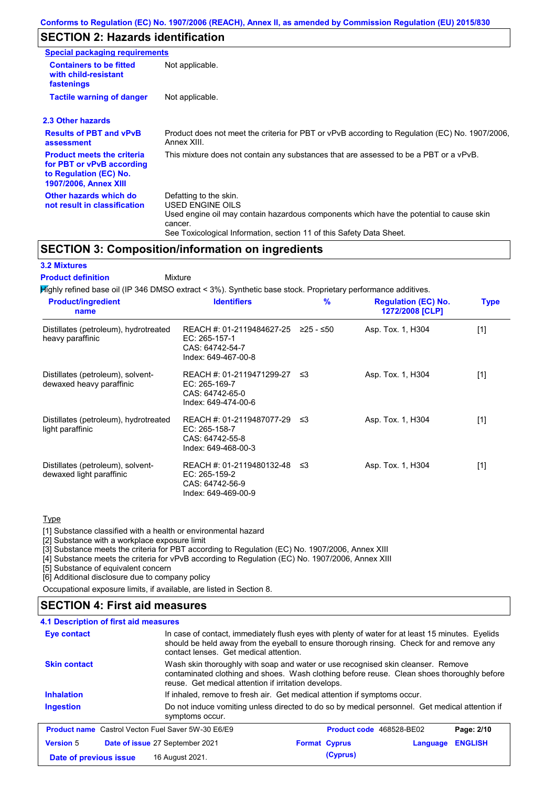## **SECTION 2: Hazards identification**

| <b>Special packaging requirements</b>                                                                                    |                                                                                                                                                                                                                          |
|--------------------------------------------------------------------------------------------------------------------------|--------------------------------------------------------------------------------------------------------------------------------------------------------------------------------------------------------------------------|
| <b>Containers to be fitted</b><br>with child-resistant<br>fastenings                                                     | Not applicable.                                                                                                                                                                                                          |
| <b>Tactile warning of danger</b>                                                                                         | Not applicable.                                                                                                                                                                                                          |
| 2.3 Other hazards                                                                                                        |                                                                                                                                                                                                                          |
| <b>Results of PBT and vPvB</b><br>assessment                                                                             | Product does not meet the criteria for PBT or vPvB according to Regulation (EC) No. 1907/2006,<br>Annex XIII.                                                                                                            |
| <b>Product meets the criteria</b><br>for PBT or vPvB according<br>to Regulation (EC) No.<br><b>1907/2006, Annex XIII</b> | This mixture does not contain any substances that are assessed to be a PBT or a vPvB.                                                                                                                                    |
| Other hazards which do<br>not result in classification                                                                   | Defatting to the skin.<br>USED ENGINE OILS<br>Used engine oil may contain hazardous components which have the potential to cause skin<br>cancer.<br>See Toxicological Information, section 11 of this Safety Data Sheet. |

## **SECTION 3: Composition/information on ingredients**

### **3.2 Mixtures**

Mixture **Product definition**

Highly refined base oil (IP 346 DMSO extract < 3%). Synthetic base stock. Proprietary performance additives.

| <b>Product/ingredient</b><br>name                             | <b>Identifiers</b>                                                                     | $\frac{9}{6}$ | <b>Regulation (EC) No.</b><br>1272/2008 [CLP] | <b>Type</b> |
|---------------------------------------------------------------|----------------------------------------------------------------------------------------|---------------|-----------------------------------------------|-------------|
| Distillates (petroleum), hydrotreated<br>heavy paraffinic     | REACH #: 01-2119484627-25<br>$EC: 265-157-1$<br>CAS: 64742-54-7<br>Index: 649-467-00-8 | ≥25 - ≤50     | Asp. Tox. 1, H304                             | $[1]$       |
| Distillates (petroleum), solvent-<br>dewaxed heavy paraffinic | REACH #: 01-2119471299-27<br>EC: 265-169-7<br>CAS: 64742-65-0<br>Index: 649-474-00-6   | ב≥            | Asp. Tox. 1, H304                             | [1]         |
| Distillates (petroleum), hydrotreated<br>light paraffinic     | REACH #: 01-2119487077-29<br>EC: 265-158-7<br>CAS: 64742-55-8<br>Index: 649-468-00-3   | -≤3           | Asp. Tox. 1, H304                             | $[1]$       |
| Distillates (petroleum), solvent-<br>dewaxed light paraffinic | REACH #: 01-2119480132-48<br>EC: 265-159-2<br>CAS: 64742-56-9<br>Index: 649-469-00-9   | וי≥           | Asp. Tox. 1, H304                             | $[1]$       |

Type

[1] Substance classified with a health or environmental hazard

[2] Substance with a workplace exposure limit

[3] Substance meets the criteria for PBT according to Regulation (EC) No. 1907/2006, Annex XIII

[4] Substance meets the criteria for vPvB according to Regulation (EC) No. 1907/2006, Annex XIII

[5] Substance of equivalent concern

[6] Additional disclosure due to company policy

Occupational exposure limits, if available, are listed in Section 8.

### **SECTION 4: First aid measures**

| 4.1 Description of first aid measures                                                                                                                                                                                                                         |                                                                                                                                                                                                                                        |                          |          |                |  |  |
|---------------------------------------------------------------------------------------------------------------------------------------------------------------------------------------------------------------------------------------------------------------|----------------------------------------------------------------------------------------------------------------------------------------------------------------------------------------------------------------------------------------|--------------------------|----------|----------------|--|--|
| In case of contact, immediately flush eyes with plenty of water for at least 15 minutes. Eyelids<br><b>Eye contact</b><br>should be held away from the eyeball to ensure thorough rinsing. Check for and remove any<br>contact lenses. Get medical attention. |                                                                                                                                                                                                                                        |                          |          |                |  |  |
| <b>Skin contact</b>                                                                                                                                                                                                                                           | Wash skin thoroughly with soap and water or use recognised skin cleanser. Remove<br>contaminated clothing and shoes. Wash clothing before reuse. Clean shoes thoroughly before<br>reuse. Get medical attention if irritation develops. |                          |          |                |  |  |
| <b>Inhalation</b>                                                                                                                                                                                                                                             | If inhaled, remove to fresh air. Get medical attention if symptoms occur.                                                                                                                                                              |                          |          |                |  |  |
| <b>Ingestion</b>                                                                                                                                                                                                                                              | Do not induce vomiting unless directed to do so by medical personnel. Get medical attention if<br>symptoms occur.                                                                                                                      |                          |          |                |  |  |
| <b>Product name</b> Castrol Vecton Fuel Saver 5W-30 E6/E9                                                                                                                                                                                                     |                                                                                                                                                                                                                                        | Product code 468528-BE02 |          | Page: 2/10     |  |  |
| <b>Version 5</b>                                                                                                                                                                                                                                              | Date of issue 27 September 2021                                                                                                                                                                                                        | <b>Format Cyprus</b>     | Language | <b>ENGLISH</b> |  |  |
| Date of previous issue                                                                                                                                                                                                                                        | 16 August 2021.                                                                                                                                                                                                                        | (Cyprus)                 |          |                |  |  |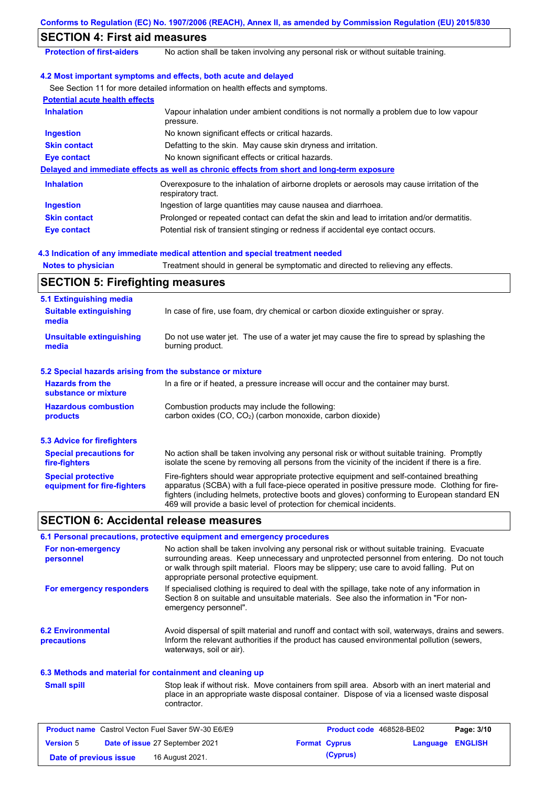|                                                           | Conforms to Regulation (EC) No. 1907/2006 (REACH), Annex II, as amended by Commission Regulation (EU) 2015/830                                                                                                                                                                                                                                                    |
|-----------------------------------------------------------|-------------------------------------------------------------------------------------------------------------------------------------------------------------------------------------------------------------------------------------------------------------------------------------------------------------------------------------------------------------------|
| <b>SECTION 4: First aid measures</b>                      |                                                                                                                                                                                                                                                                                                                                                                   |
| <b>Protection of first-aiders</b>                         | No action shall be taken involving any personal risk or without suitable training.                                                                                                                                                                                                                                                                                |
|                                                           | 4.2 Most important symptoms and effects, both acute and delayed                                                                                                                                                                                                                                                                                                   |
|                                                           | See Section 11 for more detailed information on health effects and symptoms.                                                                                                                                                                                                                                                                                      |
| <b>Potential acute health effects</b>                     |                                                                                                                                                                                                                                                                                                                                                                   |
| <b>Inhalation</b>                                         | Vapour inhalation under ambient conditions is not normally a problem due to low vapour<br>pressure.                                                                                                                                                                                                                                                               |
| <b>Ingestion</b>                                          | No known significant effects or critical hazards.                                                                                                                                                                                                                                                                                                                 |
| <b>Skin contact</b>                                       | Defatting to the skin. May cause skin dryness and irritation.                                                                                                                                                                                                                                                                                                     |
| <b>Eye contact</b>                                        | No known significant effects or critical hazards.                                                                                                                                                                                                                                                                                                                 |
|                                                           | Delayed and immediate effects as well as chronic effects from short and long-term exposure                                                                                                                                                                                                                                                                        |
| <b>Inhalation</b>                                         | Overexposure to the inhalation of airborne droplets or aerosols may cause irritation of the<br>respiratory tract.                                                                                                                                                                                                                                                 |
| <b>Ingestion</b>                                          | Ingestion of large quantities may cause nausea and diarrhoea.                                                                                                                                                                                                                                                                                                     |
| <b>Skin contact</b>                                       | Prolonged or repeated contact can defat the skin and lead to irritation and/or dermatitis.                                                                                                                                                                                                                                                                        |
| <b>Eye contact</b>                                        | Potential risk of transient stinging or redness if accidental eye contact occurs.                                                                                                                                                                                                                                                                                 |
|                                                           |                                                                                                                                                                                                                                                                                                                                                                   |
|                                                           | 4.3 Indication of any immediate medical attention and special treatment needed                                                                                                                                                                                                                                                                                    |
| <b>Notes to physician</b>                                 | Treatment should in general be symptomatic and directed to relieving any effects.                                                                                                                                                                                                                                                                                 |
| <b>SECTION 5: Firefighting measures</b>                   |                                                                                                                                                                                                                                                                                                                                                                   |
| 5.1 Extinguishing media                                   |                                                                                                                                                                                                                                                                                                                                                                   |
| <b>Suitable extinguishing</b><br>media                    | In case of fire, use foam, dry chemical or carbon dioxide extinguisher or spray.                                                                                                                                                                                                                                                                                  |
| <b>Unsuitable extinguishing</b><br>media                  | Do not use water jet. The use of a water jet may cause the fire to spread by splashing the<br>burning product.                                                                                                                                                                                                                                                    |
| 5.2 Special hazards arising from the substance or mixture |                                                                                                                                                                                                                                                                                                                                                                   |
| <b>Hazards from the</b>                                   | In a fire or if heated, a pressure increase will occur and the container may burst.                                                                                                                                                                                                                                                                               |
| substance or mixture                                      |                                                                                                                                                                                                                                                                                                                                                                   |
| <b>Hazardous combustion</b><br>products                   | Combustion products may include the following:<br>carbon oxides (CO, CO <sub>2</sub> ) (carbon monoxide, carbon dioxide)                                                                                                                                                                                                                                          |
| <b>5.3 Advice for firefighters</b>                        |                                                                                                                                                                                                                                                                                                                                                                   |
| <b>Special precautions for</b><br>fire-fighters           | No action shall be taken involving any personal risk or without suitable training. Promptly<br>isolate the scene by removing all persons from the vicinity of the incident if there is a fire.                                                                                                                                                                    |
| <b>Special protective</b><br>equipment for fire-fighters  | Fire-fighters should wear appropriate protective equipment and self-contained breathing<br>apparatus (SCBA) with a full face-piece operated in positive pressure mode. Clothing for fire-<br>fighters (including helmets, protective boots and gloves) conforming to European standard EN<br>469 will provide a basic level of protection for chemical incidents. |
| <b>SECTION 6: Accidental release measures</b>             |                                                                                                                                                                                                                                                                                                                                                                   |
|                                                           | 6.1 Personal precautions, protective equipment and emergency procedures                                                                                                                                                                                                                                                                                           |
| For non-emergency<br>personnel                            | No action shall be taken involving any personal risk or without suitable training. Evacuate<br>surrounding areas. Keep unnecessary and unprotected personnel from entering. Do not touch<br>or walk through spilt material. Floors may be slippery; use care to avoid falling. Put on<br>appropriate personal protective equipment.                               |
| For emergency responders                                  | If specialised clothing is required to deal with the spillage, take note of any information in<br>Section 8 on suitable and unsuitable materials. See also the information in "For non-<br>emergency personnel".                                                                                                                                                  |
| <b>6.2 Environmental</b><br>precautions                   | Avoid dispersal of spilt material and runoff and contact with soil, waterways, drains and sewers.<br>Inform the relevant authorities if the product has caused environmental pollution (sewers,<br>waterways, soil or air).                                                                                                                                       |

### **6.3 Methods and material for containment and cleaning up**

**Small spill**

Stop leak if without risk. Move containers from spill area. Absorb with an inert material and place in an appropriate waste disposal container. Dispose of via a licensed waste disposal contractor.

| <b>Product name</b> Castrol Vecton Fuel Saver 5W-30 E6/E9 |  |                                 | <b>Product code</b> 468528-BE02 | Page: 3/10 |                  |  |
|-----------------------------------------------------------|--|---------------------------------|---------------------------------|------------|------------------|--|
| <b>Version 5</b>                                          |  | Date of issue 27 September 2021 | <b>Format Cyprus</b>            |            | Language ENGLISH |  |
| Date of previous issue                                    |  | 16 August 2021.                 |                                 | (Cyprus)   |                  |  |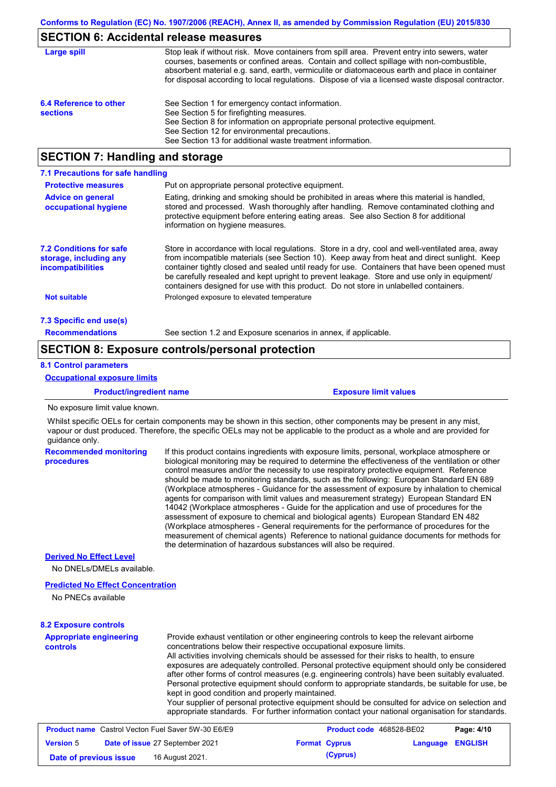## **SECTION 6: Accidental release measures**

| Large spill                               | Stop leak if without risk. Move containers from spill area. Prevent entry into sewers, water<br>courses, basements or confined areas. Contain and collect spillage with non-combustible,<br>absorbent material e.g. sand, earth, vermiculite or diatomaceous earth and place in container<br>for disposal according to local regulations. Dispose of via a licensed waste disposal contractor. |
|-------------------------------------------|------------------------------------------------------------------------------------------------------------------------------------------------------------------------------------------------------------------------------------------------------------------------------------------------------------------------------------------------------------------------------------------------|
| 6.4 Reference to other<br><b>sections</b> | See Section 1 for emergency contact information.<br>See Section 5 for firefighting measures.<br>See Section 8 for information on appropriate personal protective equipment.<br>See Section 12 for environmental precautions.<br>See Section 13 for additional waste treatment information.                                                                                                     |

## **SECTION 7: Handling and storage**

| 7.1 Precautions for safe handling                                                    |                                                                                                                                                                                                                                                                                                                                                                                                                                                                                          |
|--------------------------------------------------------------------------------------|------------------------------------------------------------------------------------------------------------------------------------------------------------------------------------------------------------------------------------------------------------------------------------------------------------------------------------------------------------------------------------------------------------------------------------------------------------------------------------------|
| <b>Protective measures</b>                                                           | Put on appropriate personal protective equipment.                                                                                                                                                                                                                                                                                                                                                                                                                                        |
| <b>Advice on general</b><br>occupational hygiene                                     | Eating, drinking and smoking should be prohibited in areas where this material is handled.<br>stored and processed. Wash thoroughly after handling. Remove contaminated clothing and<br>protective equipment before entering eating areas. See also Section 8 for additional<br>information on hygiene measures.                                                                                                                                                                         |
| <b>7.2 Conditions for safe</b><br>storage, including any<br><i>incompatibilities</i> | Store in accordance with local regulations. Store in a dry, cool and well-ventilated area, away<br>from incompatible materials (see Section 10). Keep away from heat and direct sunlight. Keep<br>container tightly closed and sealed until ready for use. Containers that have been opened must<br>be carefully resealed and kept upright to prevent leakage. Store and use only in equipment/<br>containers designed for use with this product. Do not store in unlabelled containers. |
| Not suitable                                                                         | Prolonged exposure to elevated temperature                                                                                                                                                                                                                                                                                                                                                                                                                                               |
| 7.3 Specific end use(s)                                                              |                                                                                                                                                                                                                                                                                                                                                                                                                                                                                          |
| <b>Recommendations</b>                                                               | See section 1.2 and Exposure scenarios in annex, if applicable.                                                                                                                                                                                                                                                                                                                                                                                                                          |

### **SECTION 8: Exposure controls/personal protection**

### **8.1 Control parameters**

### **Occupational exposure limits**

**Product/ingredient name Exposure limit values** 

No exposure limit value known.

Whilst specific OELs for certain components may be shown in this section, other components may be present in any mist, vapour or dust produced. Therefore, the specific OELs may not be applicable to the product as a whole and are provided for guidance only.

| <b>Recommended monitoring</b><br><b>procedures</b> | If this product contains ingredients with exposure limits, personal, workplace atmosphere or<br>biological monitoring may be required to determine the effectiveness of the ventilation or other<br>control measures and/or the necessity to use respiratory protective equipment. Reference<br>should be made to monitoring standards, such as the following: European Standard EN 689<br>(Workplace atmospheres - Guidance for the assessment of exposure by inhalation to chemical<br>agents for comparison with limit values and measurement strategy) European Standard EN<br>14042 (Workplace atmospheres - Guide for the application and use of procedures for the<br>assessment of exposure to chemical and biological agents) European Standard EN 482<br>(Workplace atmospheres - General requirements for the performance of procedures for the<br>measurement of chemical agents) Reference to national guidance documents for methods for<br>the determination of hazardous substances will also be required. |
|----------------------------------------------------|----------------------------------------------------------------------------------------------------------------------------------------------------------------------------------------------------------------------------------------------------------------------------------------------------------------------------------------------------------------------------------------------------------------------------------------------------------------------------------------------------------------------------------------------------------------------------------------------------------------------------------------------------------------------------------------------------------------------------------------------------------------------------------------------------------------------------------------------------------------------------------------------------------------------------------------------------------------------------------------------------------------------------|
| <b>Derived No Effect Level</b>                     |                                                                                                                                                                                                                                                                                                                                                                                                                                                                                                                                                                                                                                                                                                                                                                                                                                                                                                                                                                                                                            |
| No DNELs/DMELs available.                          |                                                                                                                                                                                                                                                                                                                                                                                                                                                                                                                                                                                                                                                                                                                                                                                                                                                                                                                                                                                                                            |
| <b>Predicted No Effect Concentration</b>           |                                                                                                                                                                                                                                                                                                                                                                                                                                                                                                                                                                                                                                                                                                                                                                                                                                                                                                                                                                                                                            |
| No PNECs available                                 |                                                                                                                                                                                                                                                                                                                                                                                                                                                                                                                                                                                                                                                                                                                                                                                                                                                                                                                                                                                                                            |
| <b>8.2 Exposure controls</b>                       |                                                                                                                                                                                                                                                                                                                                                                                                                                                                                                                                                                                                                                                                                                                                                                                                                                                                                                                                                                                                                            |
| <b>Appropriate engineering</b><br>controls         | Provide exhaust ventilation or other engineering controls to keep the relevant airborne<br>concentrations below their respective occupational exposure limits.<br>All activities involving chemicals should be assessed for their risks to health, to ensure<br>exposures are adequately controlled. Personal protective equipment should only be considered<br>after other forms of control measures (e.g. engineering controls) have been suitably evaluated.<br>Personal protective equipment should conform to appropriate standards, be suitable for use, be<br>kept in good condition and properly maintained.<br>Your supplier of personal protective equipment should be consulted for advice on selection and<br>appropriate standards. For further information contact your national organisation for standards.                                                                                                                                                                                                 |

| <b>Product name</b> Castrol Vecton Fuel Saver 5W-30 E6/E9 |  |                                 | <b>Product code</b> 468528-BE02 | Page: 4/10           |                         |  |
|-----------------------------------------------------------|--|---------------------------------|---------------------------------|----------------------|-------------------------|--|
| <b>Version 5</b>                                          |  | Date of issue 27 September 2021 |                                 | <b>Format Cyprus</b> | <b>Language ENGLISH</b> |  |
| Date of previous issue                                    |  | 16 August 2021.                 |                                 | (Cyprus)             |                         |  |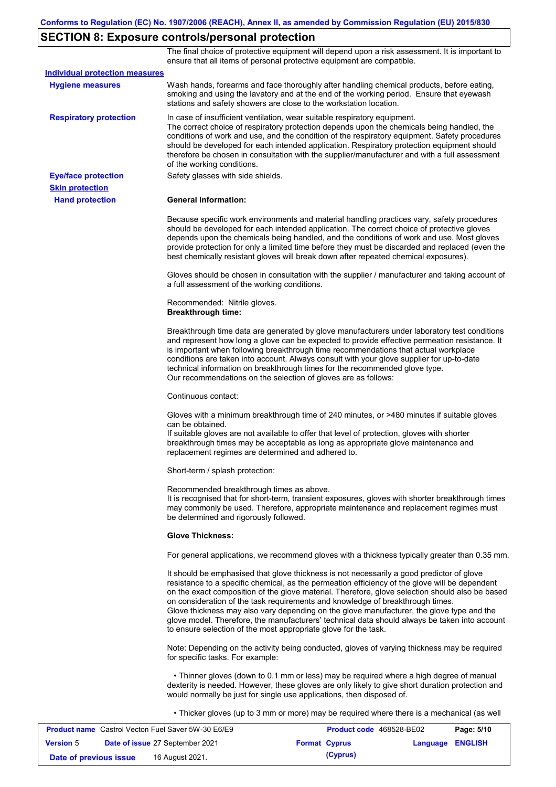## **SECTION 8: Exposure controls/personal protection**

The final choice of protective equipment will depend upon a risk assessment. It is important to ensure that all items of personal protective equipment are compatible.

| <b>Individual protection measures</b> |                                                                                                                                                                                                                                                                                                                                                                                                                                                                                                                                                                                                                                                   |
|---------------------------------------|---------------------------------------------------------------------------------------------------------------------------------------------------------------------------------------------------------------------------------------------------------------------------------------------------------------------------------------------------------------------------------------------------------------------------------------------------------------------------------------------------------------------------------------------------------------------------------------------------------------------------------------------------|
| <b>Hygiene measures</b>               | Wash hands, forearms and face thoroughly after handling chemical products, before eating,<br>smoking and using the lavatory and at the end of the working period. Ensure that eyewash<br>stations and safety showers are close to the workstation location.                                                                                                                                                                                                                                                                                                                                                                                       |
| <b>Respiratory protection</b>         | In case of insufficient ventilation, wear suitable respiratory equipment.<br>The correct choice of respiratory protection depends upon the chemicals being handled, the<br>conditions of work and use, and the condition of the respiratory equipment. Safety procedures<br>should be developed for each intended application. Respiratory protection equipment should<br>therefore be chosen in consultation with the supplier/manufacturer and with a full assessment<br>of the working conditions.                                                                                                                                             |
| <b>Eye/face protection</b>            | Safety glasses with side shields.                                                                                                                                                                                                                                                                                                                                                                                                                                                                                                                                                                                                                 |
| <b>Skin protection</b>                |                                                                                                                                                                                                                                                                                                                                                                                                                                                                                                                                                                                                                                                   |
| <b>Hand protection</b>                | <b>General Information:</b>                                                                                                                                                                                                                                                                                                                                                                                                                                                                                                                                                                                                                       |
|                                       | Because specific work environments and material handling practices vary, safety procedures<br>should be developed for each intended application. The correct choice of protective gloves<br>depends upon the chemicals being handled, and the conditions of work and use. Most gloves<br>provide protection for only a limited time before they must be discarded and replaced (even the<br>best chemically resistant gloves will break down after repeated chemical exposures).                                                                                                                                                                  |
|                                       | Gloves should be chosen in consultation with the supplier / manufacturer and taking account of<br>a full assessment of the working conditions.                                                                                                                                                                                                                                                                                                                                                                                                                                                                                                    |
|                                       | Recommended: Nitrile gloves.<br><b>Breakthrough time:</b>                                                                                                                                                                                                                                                                                                                                                                                                                                                                                                                                                                                         |
|                                       | Breakthrough time data are generated by glove manufacturers under laboratory test conditions<br>and represent how long a glove can be expected to provide effective permeation resistance. It<br>is important when following breakthrough time recommendations that actual workplace<br>conditions are taken into account. Always consult with your glove supplier for up-to-date<br>technical information on breakthrough times for the recommended glove type.<br>Our recommendations on the selection of gloves are as follows:                                                                                                                |
|                                       | Continuous contact:                                                                                                                                                                                                                                                                                                                                                                                                                                                                                                                                                                                                                               |
|                                       | Gloves with a minimum breakthrough time of 240 minutes, or >480 minutes if suitable gloves<br>can be obtained.<br>If suitable gloves are not available to offer that level of protection, gloves with shorter<br>breakthrough times may be acceptable as long as appropriate glove maintenance and<br>replacement regimes are determined and adhered to.                                                                                                                                                                                                                                                                                          |
|                                       | Short-term / splash protection:                                                                                                                                                                                                                                                                                                                                                                                                                                                                                                                                                                                                                   |
|                                       | Recommended breakthrough times as above.<br>It is recognised that for short-term, transient exposures, gloves with shorter breakthrough times<br>may commonly be used. Therefore, appropriate maintenance and replacement regimes must<br>be determined and rigorously followed.                                                                                                                                                                                                                                                                                                                                                                  |
|                                       | <b>Glove Thickness:</b>                                                                                                                                                                                                                                                                                                                                                                                                                                                                                                                                                                                                                           |
|                                       | For general applications, we recommend gloves with a thickness typically greater than 0.35 mm.                                                                                                                                                                                                                                                                                                                                                                                                                                                                                                                                                    |
|                                       | It should be emphasised that glove thickness is not necessarily a good predictor of glove<br>resistance to a specific chemical, as the permeation efficiency of the glove will be dependent<br>on the exact composition of the glove material. Therefore, glove selection should also be based<br>on consideration of the task requirements and knowledge of breakthrough times.<br>Glove thickness may also vary depending on the glove manufacturer, the glove type and the<br>glove model. Therefore, the manufacturers' technical data should always be taken into account<br>to ensure selection of the most appropriate glove for the task. |
|                                       | Note: Depending on the activity being conducted, gloves of varying thickness may be required<br>for specific tasks. For example:                                                                                                                                                                                                                                                                                                                                                                                                                                                                                                                  |
|                                       | • Thinner gloves (down to 0.1 mm or less) may be required where a high degree of manual<br>dexterity is needed. However, these gloves are only likely to give short duration protection and<br>would normally be just for single use applications, then disposed of.                                                                                                                                                                                                                                                                                                                                                                              |
|                                       | • Thicker gloves (up to 3 mm or more) may be required where there is a mechanical (as well                                                                                                                                                                                                                                                                                                                                                                                                                                                                                                                                                        |

| <b>Product name</b> Castrol Vecton Fuel Saver 5W-30 E6/E9 |  |                                        | <b>Product code</b> 468528-BE02 | Page: 5/10           |                         |  |
|-----------------------------------------------------------|--|----------------------------------------|---------------------------------|----------------------|-------------------------|--|
| <b>Version 5</b>                                          |  | <b>Date of issue 27 September 2021</b> |                                 | <b>Format Cyprus</b> | <b>Language ENGLISH</b> |  |
| Date of previous issue                                    |  | 16 August 2021.                        |                                 | (Cyprus)             |                         |  |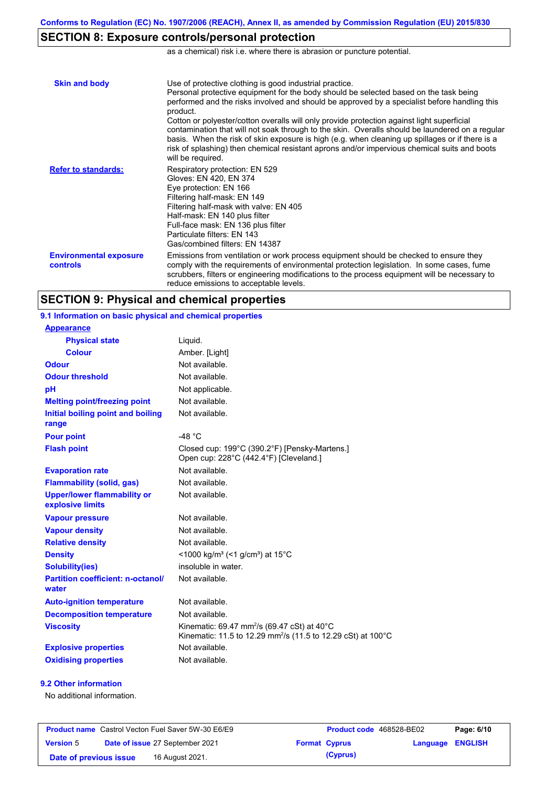## **SECTION 8: Exposure controls/personal protection**

as a chemical) risk i.e. where there is abrasion or puncture potential.

| <b>Skin and body</b>                             | Use of protective clothing is good industrial practice.<br>Personal protective equipment for the body should be selected based on the task being<br>performed and the risks involved and should be approved by a specialist before handling this<br>product.<br>Cotton or polyester/cotton overalls will only provide protection against light superficial<br>contamination that will not soak through to the skin. Overalls should be laundered on a regular<br>basis. When the risk of skin exposure is high (e.g. when cleaning up spillages or if there is a<br>risk of splashing) then chemical resistant aprons and/or impervious chemical suits and boots<br>will be required. |
|--------------------------------------------------|---------------------------------------------------------------------------------------------------------------------------------------------------------------------------------------------------------------------------------------------------------------------------------------------------------------------------------------------------------------------------------------------------------------------------------------------------------------------------------------------------------------------------------------------------------------------------------------------------------------------------------------------------------------------------------------|
| <b>Refer to standards:</b>                       | Respiratory protection: EN 529<br>Gloves: EN 420, EN 374<br>Eye protection: EN 166<br>Filtering half-mask: EN 149<br>Filtering half-mask with valve: EN 405<br>Half-mask: EN 140 plus filter<br>Full-face mask: EN 136 plus filter<br>Particulate filters: EN 143<br>Gas/combined filters: EN 14387                                                                                                                                                                                                                                                                                                                                                                                   |
| <b>Environmental exposure</b><br><b>controls</b> | Emissions from ventilation or work process equipment should be checked to ensure they<br>comply with the requirements of environmental protection legislation. In some cases, fume<br>scrubbers, filters or engineering modifications to the process equipment will be necessary to<br>reduce emissions to acceptable levels.                                                                                                                                                                                                                                                                                                                                                         |

### **SECTION 9: Physical and chemical properties**

Not available. **Physical state Melting point/freezing point Initial boiling point and boiling range Vapour pressure Relative density Vapour density** Liquid. Not available. Not available. Not available. Not available. **Odour** Not available. **pH Colour** Amber. [Light] **Evaporation rate** Not available. **Auto-ignition temperature Flash point** Not available. Closed cup: 199°C (390.2°F) [Pensky-Martens.] Open cup: 228°C (442.4°F) [Cleveland.] Not available. Not available. Not available. Not applicable. **Viscosity** Mate of the Milliam Kinematic: 69.47 nm<sup>2</sup>/s (69.47 cSt) at 40°C Kinematic: 11.5 to 12.29 mm<sup>2</sup>/s (11.5 to 12.29 cSt) at 100°C **Odour threshold** Not available. **Partition coefficient: n-octanol/ water Upper/lower flammability or explosive limits Explosive properties Oxidising properties** Not available. **9.1 Information on basic physical and chemical properties Appearance Decomposition temperature** Not available. **Flammability (solid, gas)** Not available. **Pour point**  $-48 \degree C$ **Density** <1000 kg/m<sup>3</sup> (<1 g/cm<sup>3</sup>) at 15<sup>°</sup>C **Solubility(ies)** insoluble in water.

#### **9.2 Other information**

No additional information.

| <b>Product name</b> Castrol Vecton Fuel Saver 5W-30 E6/E9 |  | <b>Product code</b> 468528-BE02        |  | Page: 6/10           |                         |  |
|-----------------------------------------------------------|--|----------------------------------------|--|----------------------|-------------------------|--|
| <b>Version 5</b>                                          |  | <b>Date of issue 27 September 2021</b> |  | <b>Format Cyprus</b> | <b>Language ENGLISH</b> |  |
| Date of previous issue                                    |  | 16 August 2021.                        |  | (Cyprus)             |                         |  |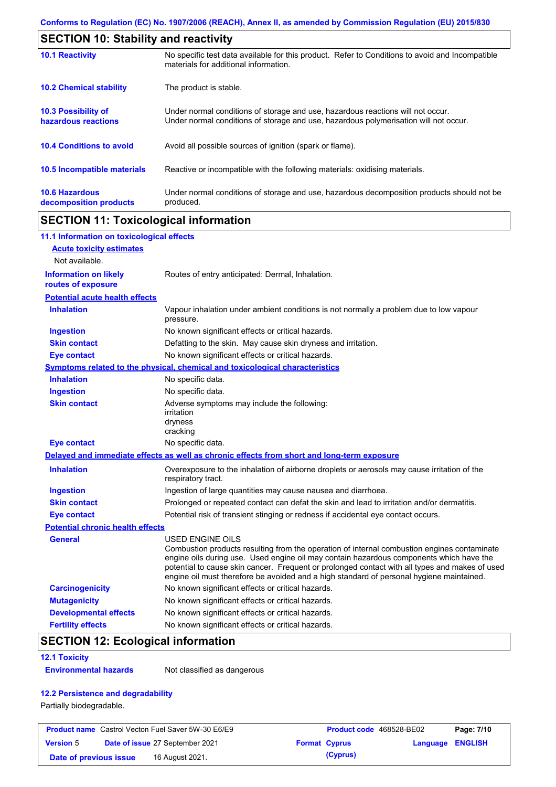| <b>SECTION 10: Stability and reactivity</b>       |                                                                                                                                                                         |  |  |  |
|---------------------------------------------------|-------------------------------------------------------------------------------------------------------------------------------------------------------------------------|--|--|--|
| <b>10.1 Reactivity</b>                            | No specific test data available for this product. Refer to Conditions to avoid and Incompatible<br>materials for additional information.                                |  |  |  |
| <b>10.2 Chemical stability</b>                    | The product is stable.                                                                                                                                                  |  |  |  |
| <b>10.3 Possibility of</b><br>hazardous reactions | Under normal conditions of storage and use, hazardous reactions will not occur.<br>Under normal conditions of storage and use, hazardous polymerisation will not occur. |  |  |  |
| <b>10.4 Conditions to avoid</b>                   | Avoid all possible sources of ignition (spark or flame).                                                                                                                |  |  |  |
| 10.5 Incompatible materials                       | Reactive or incompatible with the following materials: oxidising materials.                                                                                             |  |  |  |
| <b>10.6 Hazardous</b><br>decomposition products   | Under normal conditions of storage and use, hazardous decomposition products should not be<br>produced.                                                                 |  |  |  |

## **SECTION 11: Toxicological information**

| 11.1 Information on toxicological effects          |                                                                                                                                                                                                                                                                                                                                                                                                                 |
|----------------------------------------------------|-----------------------------------------------------------------------------------------------------------------------------------------------------------------------------------------------------------------------------------------------------------------------------------------------------------------------------------------------------------------------------------------------------------------|
| <b>Acute toxicity estimates</b>                    |                                                                                                                                                                                                                                                                                                                                                                                                                 |
| Not available.                                     |                                                                                                                                                                                                                                                                                                                                                                                                                 |
| <b>Information on likely</b><br>routes of exposure | Routes of entry anticipated: Dermal, Inhalation.                                                                                                                                                                                                                                                                                                                                                                |
| <b>Potential acute health effects</b>              |                                                                                                                                                                                                                                                                                                                                                                                                                 |
| <b>Inhalation</b>                                  | Vapour inhalation under ambient conditions is not normally a problem due to low vapour<br>pressure.                                                                                                                                                                                                                                                                                                             |
| <b>Ingestion</b>                                   | No known significant effects or critical hazards.                                                                                                                                                                                                                                                                                                                                                               |
| <b>Skin contact</b>                                | Defatting to the skin. May cause skin dryness and irritation.                                                                                                                                                                                                                                                                                                                                                   |
| <b>Eye contact</b>                                 | No known significant effects or critical hazards.                                                                                                                                                                                                                                                                                                                                                               |
|                                                    | <b>Symptoms related to the physical, chemical and toxicological characteristics</b>                                                                                                                                                                                                                                                                                                                             |
| <b>Inhalation</b>                                  | No specific data.                                                                                                                                                                                                                                                                                                                                                                                               |
| <b>Ingestion</b>                                   | No specific data.                                                                                                                                                                                                                                                                                                                                                                                               |
| <b>Skin contact</b>                                | Adverse symptoms may include the following:<br>irritation<br>dryness<br>cracking                                                                                                                                                                                                                                                                                                                                |
| <b>Eye contact</b>                                 | No specific data.                                                                                                                                                                                                                                                                                                                                                                                               |
|                                                    | Delayed and immediate effects as well as chronic effects from short and long-term exposure                                                                                                                                                                                                                                                                                                                      |
| <b>Inhalation</b>                                  | Overexposure to the inhalation of airborne droplets or aerosols may cause irritation of the<br>respiratory tract.                                                                                                                                                                                                                                                                                               |
| <b>Ingestion</b>                                   | Ingestion of large quantities may cause nausea and diarrhoea.                                                                                                                                                                                                                                                                                                                                                   |
| <b>Skin contact</b>                                | Prolonged or repeated contact can defat the skin and lead to irritation and/or dermatitis.                                                                                                                                                                                                                                                                                                                      |
| <b>Eye contact</b>                                 | Potential risk of transient stinging or redness if accidental eye contact occurs.                                                                                                                                                                                                                                                                                                                               |
| <b>Potential chronic health effects</b>            |                                                                                                                                                                                                                                                                                                                                                                                                                 |
| General                                            | <b>USED ENGINE OILS</b><br>Combustion products resulting from the operation of internal combustion engines contaminate<br>engine oils during use. Used engine oil may contain hazardous components which have the<br>potential to cause skin cancer. Frequent or prolonged contact with all types and makes of used<br>engine oil must therefore be avoided and a high standard of personal hygiene maintained. |
| <b>Carcinogenicity</b>                             | No known significant effects or critical hazards.                                                                                                                                                                                                                                                                                                                                                               |
| <b>Mutagenicity</b>                                | No known significant effects or critical hazards.                                                                                                                                                                                                                                                                                                                                                               |
| <b>Developmental effects</b>                       | No known significant effects or critical hazards.                                                                                                                                                                                                                                                                                                                                                               |
| <b>Fertility effects</b>                           | No known significant effects or critical hazards.                                                                                                                                                                                                                                                                                                                                                               |

## **SECTION 12: Ecological information**

### **12.1 Toxicity**

**Environmental hazards** Not classified as dangerous

### **12.2 Persistence and degradability**

Partially biodegradable.

| <b>Product name</b> Castrol Vecton Fuel Saver 5W-30 E6/E9 |  | <b>Product code</b> 468528-BE02 |  | Page: 7/10           |                  |  |
|-----------------------------------------------------------|--|---------------------------------|--|----------------------|------------------|--|
| <b>Version 5</b>                                          |  | Date of issue 27 September 2021 |  | <b>Format Cyprus</b> | Language ENGLISH |  |
| Date of previous issue                                    |  | 16 August 2021.                 |  | (Cyprus)             |                  |  |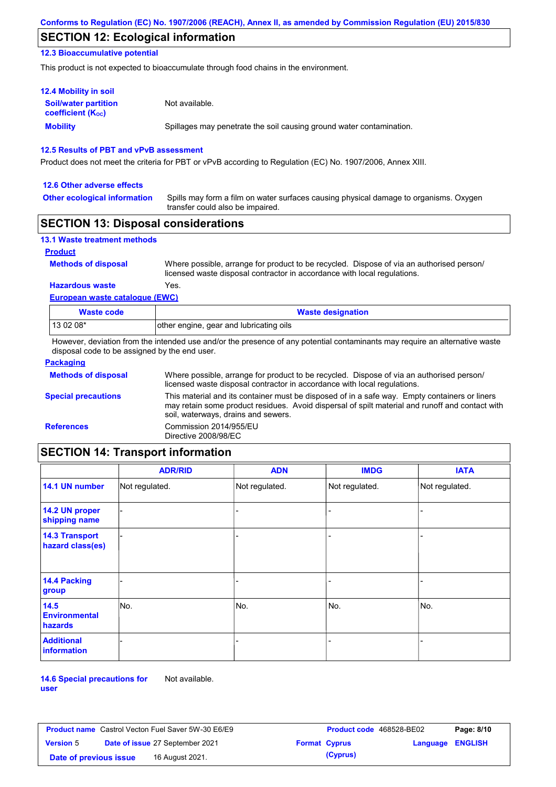## **SECTION 12: Ecological information**

### **12.3 Bioaccumulative potential**

This product is not expected to bioaccumulate through food chains in the environment.

| <b>12.4 Mobility in soil</b>                                  |                                                                      |
|---------------------------------------------------------------|----------------------------------------------------------------------|
| <b>Soil/water partition</b><br>coefficient (K <sub>oc</sub> ) | Not available.                                                       |
| <b>Mobility</b>                                               | Spillages may penetrate the soil causing ground water contamination. |

### **12.5 Results of PBT and vPvB assessment**

Product does not meet the criteria for PBT or vPvB according to Regulation (EC) No. 1907/2006, Annex XIII.

#### **12.6 Other adverse effects**

**Other ecological information**

Spills may form a film on water surfaces causing physical damage to organisms. Oxygen transfer could also be impaired.

### **SECTION 13: Disposal considerations**

| <b>13.1 Waste treatment methods</b> |                                                                                                                                                                      |
|-------------------------------------|----------------------------------------------------------------------------------------------------------------------------------------------------------------------|
| <b>Product</b>                      |                                                                                                                                                                      |
| <b>Methods of disposal</b>          | Where possible, arrange for product to be recycled. Dispose of via an authorised person/<br>licensed waste disposal contractor in accordance with local regulations. |
| <b>Hazardous waste</b>              | Yes.                                                                                                                                                                 |
| European waste catalogue (EWC)      |                                                                                                                                                                      |

| Waste code | <b>Waste designation</b>                |  |
|------------|-----------------------------------------|--|
| $130208*$  | other engine, gear and lubricating oils |  |

However, deviation from the intended use and/or the presence of any potential contaminants may require an alternative waste disposal code to be assigned by the end user.

| <b>Packaging</b>           |                                                                                                                                                                                                                                         |
|----------------------------|-----------------------------------------------------------------------------------------------------------------------------------------------------------------------------------------------------------------------------------------|
| <b>Methods of disposal</b> | Where possible, arrange for product to be recycled. Dispose of via an authorised person/<br>licensed waste disposal contractor in accordance with local regulations.                                                                    |
| <b>Special precautions</b> | This material and its container must be disposed of in a safe way. Empty containers or liners<br>may retain some product residues. Avoid dispersal of spilt material and runoff and contact with<br>soil, waterways, drains and sewers. |
| <b>References</b>          | Commission 2014/955/EU<br>Directive 2008/98/EC                                                                                                                                                                                          |

## **SECTION 14: Transport information**

|                                           | <b>ADR/RID</b> | <b>ADN</b>     | <b>IMDG</b>    | <b>IATA</b>    |
|-------------------------------------------|----------------|----------------|----------------|----------------|
| 14.1 UN number                            | Not regulated. | Not regulated. | Not regulated. | Not regulated. |
| 14.2 UN proper<br>shipping name           |                |                |                |                |
| <b>14.3 Transport</b><br>hazard class(es) |                |                |                |                |
| 14.4 Packing<br>group                     |                |                |                |                |
| 14.5<br><b>Environmental</b><br>hazards   | No.            | No.            | No.            | No.            |
| <b>Additional</b><br>information          |                |                |                |                |

**14.6 Special precautions for user** Not available.

**Product name** Castrol Vecton Fuel Saver 5W-30 E6/E9 **Product Code 468528-BE02 Page: 8/10 Version** 5 **Date of issue** 27 September 2021 **Format Cyprus Language ENGLISH Date of previous issue 16 August 2021. (Cyprus) (Cyprus)**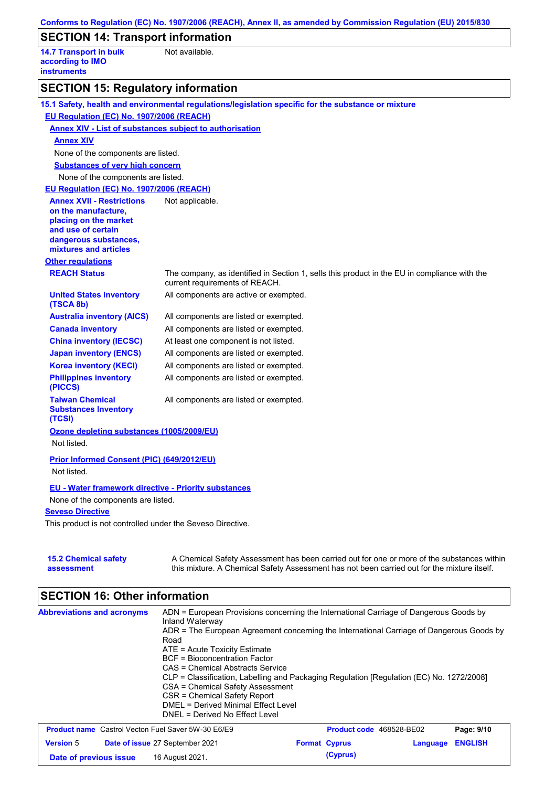|                                                                                                   | Conforms to Regulation (EC) No. 1907/2006 (REACH), Annex II, as amended by Commission Regulation (EU) 2015/830                                                                            |
|---------------------------------------------------------------------------------------------------|-------------------------------------------------------------------------------------------------------------------------------------------------------------------------------------------|
| <b>SECTION 14: Transport information</b>                                                          |                                                                                                                                                                                           |
| <b>14.7 Transport in bulk</b><br>according to IMO<br><b>instruments</b>                           | Not available.                                                                                                                                                                            |
| <b>SECTION 15: Regulatory information</b>                                                         |                                                                                                                                                                                           |
|                                                                                                   | 15.1 Safety, health and environmental regulations/legislation specific for the substance or mixture                                                                                       |
| EU Regulation (EC) No. 1907/2006 (REACH)                                                          |                                                                                                                                                                                           |
| <b>Annex XIV - List of substances subject to authorisation</b>                                    |                                                                                                                                                                                           |
| <b>Annex XIV</b>                                                                                  |                                                                                                                                                                                           |
| None of the components are listed.                                                                |                                                                                                                                                                                           |
| <b>Substances of very high concern</b>                                                            |                                                                                                                                                                                           |
| None of the components are listed.                                                                |                                                                                                                                                                                           |
| EU Regulation (EC) No. 1907/2006 (REACH)                                                          |                                                                                                                                                                                           |
| <b>Annex XVII - Restrictions</b>                                                                  | Not applicable.                                                                                                                                                                           |
| on the manufacture,<br>placing on the market                                                      |                                                                                                                                                                                           |
| and use of certain                                                                                |                                                                                                                                                                                           |
| dangerous substances,                                                                             |                                                                                                                                                                                           |
| mixtures and articles                                                                             |                                                                                                                                                                                           |
| <b>Other regulations</b>                                                                          |                                                                                                                                                                                           |
| <b>REACH Status</b>                                                                               | The company, as identified in Section 1, sells this product in the EU in compliance with the<br>current requirements of REACH.                                                            |
| <b>United States inventory</b><br>(TSCA 8b)                                                       | All components are active or exempted.                                                                                                                                                    |
| <b>Australia inventory (AICS)</b>                                                                 | All components are listed or exempted.                                                                                                                                                    |
| <b>Canada inventory</b>                                                                           | All components are listed or exempted.                                                                                                                                                    |
| <b>China inventory (IECSC)</b>                                                                    | At least one component is not listed.                                                                                                                                                     |
| <b>Japan inventory (ENCS)</b>                                                                     | All components are listed or exempted.                                                                                                                                                    |
| <b>Korea inventory (KECI)</b>                                                                     | All components are listed or exempted.                                                                                                                                                    |
| <b>Philippines inventory</b><br>(PICCS)                                                           | All components are listed or exempted.                                                                                                                                                    |
| <b>Taiwan Chemical</b><br><b>Substances Inventory</b><br>(TCSI)                                   | All components are listed or exempted.                                                                                                                                                    |
| Ozone depleting substances (1005/2009/EU)<br>Not listed.                                          |                                                                                                                                                                                           |
| Prior Informed Consent (PIC) (649/2012/EU)<br>Not listed.                                         |                                                                                                                                                                                           |
| <b>EU - Water framework directive - Priority substances</b><br>None of the components are listed. |                                                                                                                                                                                           |
| <b>Seveso Directive</b>                                                                           |                                                                                                                                                                                           |
| This product is not controlled under the Seveso Directive.                                        |                                                                                                                                                                                           |
| <b>15.2 Chemical safety</b><br>assessment                                                         | A Chemical Safety Assessment has been carried out for one or more of the substances within<br>this mixture. A Chemical Safety Assessment has not been carried out for the mixture itself. |

# **SECTION 16: Other information**

| <b>Abbreviations and acronyms</b>                         | ADN = European Provisions concerning the International Carriage of Dangerous Goods by<br>Inland Waterway<br>ADR = The European Agreement concerning the International Carriage of Dangerous Goods by<br>Road<br>ATE = Acute Toxicity Estimate<br>BCF = Bioconcentration Factor<br>CAS = Chemical Abstracts Service<br>CLP = Classification, Labelling and Packaging Regulation [Regulation (EC) No. 1272/2008]<br>CSA = Chemical Safety Assessment<br>CSR = Chemical Safety Report<br>DMEL = Derived Minimal Effect Level<br>DNEL = Derived No Effect Level |                          |          |                |
|-----------------------------------------------------------|-------------------------------------------------------------------------------------------------------------------------------------------------------------------------------------------------------------------------------------------------------------------------------------------------------------------------------------------------------------------------------------------------------------------------------------------------------------------------------------------------------------------------------------------------------------|--------------------------|----------|----------------|
| <b>Product name</b> Castrol Vecton Fuel Saver 5W-30 E6/E9 |                                                                                                                                                                                                                                                                                                                                                                                                                                                                                                                                                             | Product code 468528-BE02 |          | Page: 9/10     |
| <b>Version 5</b>                                          | Date of issue 27 September 2021                                                                                                                                                                                                                                                                                                                                                                                                                                                                                                                             | <b>Format Cyprus</b>     | Language | <b>ENGLISH</b> |
| Date of previous issue                                    | 16 August 2021.                                                                                                                                                                                                                                                                                                                                                                                                                                                                                                                                             | (Cyprus)                 |          |                |